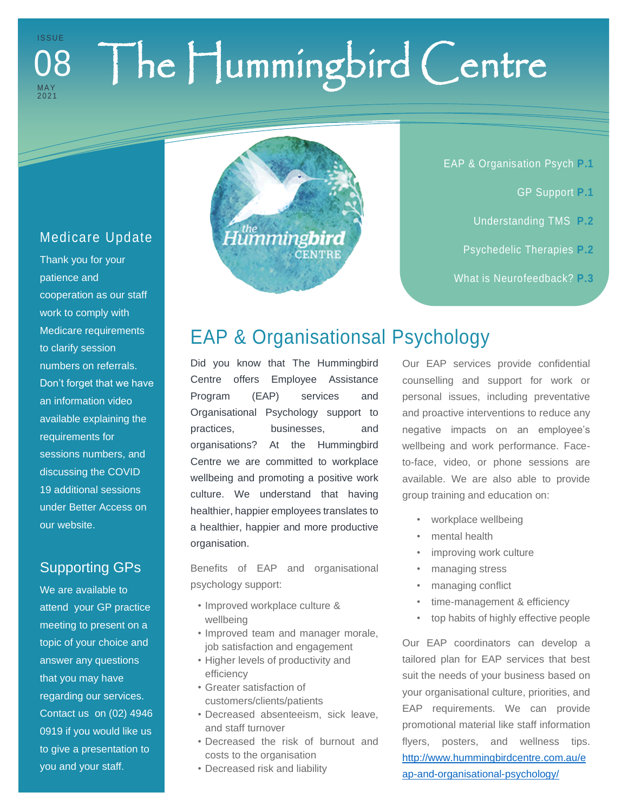### The Hummingbird Centre I S S U E MA Y 2021 08

### Medicare Update

Thank you for your patience and cooperation as our staff work to comply with Medicare requirements to clarify session numbers on referrals. Don't forget that we have an information video available explaining the requirements for sessions numbers, and discussing the COVID 19 additional sessions under Better Access on our website.

### Supporting GPs

We are available to attend your GP practice meeting to present on a topic of your choice and answer any questions that you may have regarding our services. Contact us on (02) 4946 0919 if you would like us to give a presentation to you and your staff.



EAP & Organisation Psych **P.1**

- GP Support **P.1**
- Understanding TMS **P.2**
- Psychedelic Therapies **P.2**
- What is Neurofeedback? **P.3**

# EAP & Organisationsal Psychology

Did you know that The Hummingbird Centre offers Employee Assistance Program (EAP) services and Organisational Psychology support to practices, businesses, and organisations? At the Hummingbird Centre we are committed to workplace wellbeing and promoting a positive work culture. We understand that having healthier, happier employees translates to a healthier, happier and more productive organisation.

Benefits of EAP and organisational psychology support:

- Improved workplace culture & wellbeing
- Improved team and manager morale, job satisfaction and engagement
- Higher levels of productivity and efficiency
- Greater satisfaction of customers/clients/patients
- Decreased absenteeism, sick leave, and staff turnover
- Decreased the risk of burnout and costs to the organisation
- Decreased risk and liability

Our EAP services provide confidential counselling and support for work or personal issues, including preventative and proactive interventions to reduce any negative impacts on an employee's wellbeing and work performance. Faceto-face, video, or phone sessions are available. We are also able to provide group training and education on:

- workplace wellbeing
- mental health
- improving work culture
- managing stress
- managing conflict
- time-management & efficiency
- top habits of highly effective people

Our EAP coordinators can develop a tailored plan for EAP services that best suit the needs of your business based on your organisational culture, priorities, and EAP requirements. We can provide promotional material like staff information flyers, posters, and wellness tips. [http://www.hummingbirdcentre.com.au/e](http://www.hummingbirdcentre.com.au/eap-and-organisational-psychology/) [ap-and-organisational-psychology/](http://www.hummingbirdcentre.com.au/eap-and-organisational-psychology/)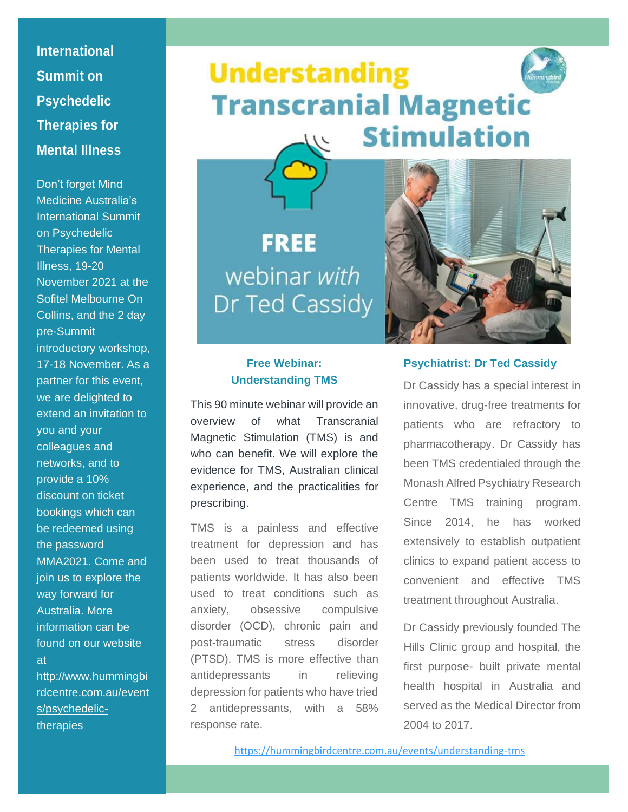**International Summit on Psychedelic Therapies for Mental Illness**

Don't forget Mind Medicine Australia's International Summit on Psychedelic Therapies for Mental Illness, 19-20 November 2021 at the Sofitel Melbourne On Collins, and the 2 day pre-Summit introductory workshop, 17-18 November. As a partner for this event, we are delighted to extend an invitation to you and your colleagues and networks, and to provide a 10% discount on ticket bookings which can be redeemed using the password MMA2021. Come and join us to explore the way forward for Australia. More information can be found on our website at [http://www.hummingbi](http://www.hummingbirdcentre.com.au/events/psychedelic-therapies) [rdcentre.com.au/event](http://www.hummingbirdcentre.com.au/events/psychedelic-therapies)

[s/psychedelic](http://www.hummingbirdcentre.com.au/events/psychedelic-therapies)**[therapies](http://www.hummingbirdcentre.com.au/events/psychedelic-therapies)** 

# **Understanding Transcranial Magnetic Stimulation**  $111$

**FREE** webinar with Dr Ted Cassidy



#### **Free Webinar: Understanding TMS**

This 90 minute webinar will provide an overview of what Transcranial Magnetic Stimulation (TMS) is and who can benefit. We will explore the evidence for TMS, Australian clinical experience, and the practicalities for prescribing.

TMS is a painless and effective treatment for depression and has been used to treat thousands of patients worldwide. It has also been used to treat conditions such as anxiety, obsessive compulsive disorder (OCD), chronic pain and post-traumatic stress disorder (PTSD). TMS is more effective than antidepressants in relieving depression for patients who have tried 2 antidepressants, with a 58% response rate.

#### **Psychiatrist: Dr Ted Cassidy**

Dr Cassidy has a special interest in innovative, drug-free treatments for patients who are refractory to pharmacotherapy. Dr Cassidy has been TMS credentialed through the Monash Alfred Psychiatry Research Centre TMS training program. Since 2014, he has worked extensively to establish outpatient clinics to expand patient access to convenient and effective TMS treatment throughout Australia.

Dr Cassidy previously founded The Hills Clinic group and hospital, the first purpose- built private mental health hospital in Australia and served as the Medical Director from 2004 to 2017.